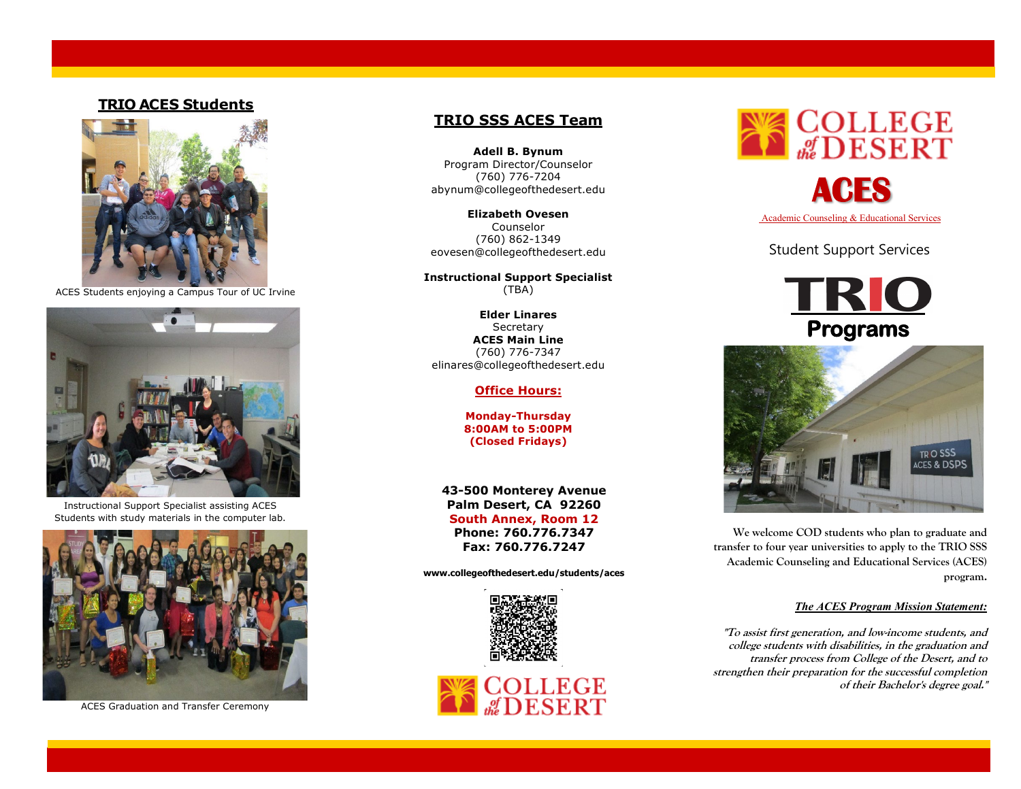### **TRIO ACES Students**



ACES Students enjoying a Campus Tour of UC Irvine



Instructional Support Specialist assisting ACES Students with study materials in the computer lab.



ACES Graduation and Transfer Ceremony

### **TRIO SSS ACES Team**

**Adell B. Bynum** Program Director/Counselor (760) 776-7204 [abynum@collegeofthedesert.edu](mailto:abynum@collegeofthedesert.edu)

**Elizabeth Ovesen** Counselor (760) 862-1349 [eovesen@collegeofthedesert.edu](mailto:eovesen@collegeofthedesert.edu)

**Instructional Support Specialist** (TBA)

**Elder Linares Secretary ACES Main Line** (760) 776-7347 elinares@collegeofthedesert.edu

#### **Office Hours:**

**Monday-Thursday 8:00AM to 5:00PM (Closed Fridays)**

**43-500 Monterey Avenue Palm Desert, CA 92260 South Annex, Room 12 Phone: 760.776.7347 Fax: 760.776.7247**

**[www.collegeofthedesert.edu/students/aces](http://www.collegeofthedesert.edu/students/aces)**





Student Support Services





**We welcome COD students who plan to graduate and transfer to four year universities to apply to the TRIO SSS Academic Counseling and Educational Services (ACES) program.**

#### *The ACES Program Mission Statement:*

**"To assist first generation, and low-income students, and college students with disabilities, in the graduation and transfer process from College of the Desert, and to strengthen their preparation for the successful completion of their Bachelor's degree goal."**